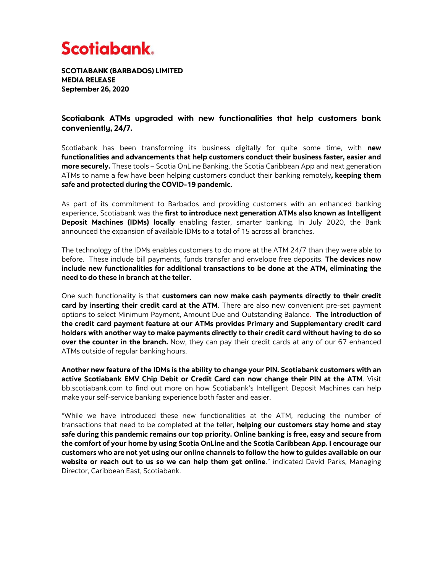## **Scotiabank**

SCOTIABANK (BARBADOS) LIMITED MEDIA RELEASE September 26, 2020

## Scotiabank ATMs upgraded with new functionalities that help customers bank conveniently, 24/7.

Scotiabank has been transforming its business digitally for quite some time, with **new functionalities and advancements that help customers conduct their business faster, easier and more securely.** These tools – Scotia OnLine Banking, the Scotia Caribbean App and next generation ATMs to name a few have been helping customers conduct their banking remotely**, keeping them safe and protected during the COVID-19 pandemic.**

As part of its commitment to Barbados and providing customers with an enhanced banking experience, Scotiabank was the **first to introduce next generation ATMs also known as Intelligent Deposit Machines (IDMs) locally** enabling faster, smarter banking. In July 2020, the Bank announced the expansion of available IDMs to a total of 15 across all branches.

The technology of the IDMs enables customers to do more at the ATM 24/7 than they were able to before. These include bill payments, funds transfer and envelope free deposits. **The devices now include new functionalities for additional transactions to be done at the ATM, eliminating the need to do these in branch at the teller.** 

One such functionality is that **customers can now make cash payments directly to their credit card by inserting their credit card at the ATM**. There are also new convenient pre-set payment options to select Minimum Payment, Amount Due and Outstanding Balance. **The introduction of the credit card payment feature at our ATMs provides Primary and Supplementary credit card holders with another way to make payments directly to their credit card without having to do so over the counter in the branch.** Now, they can pay their credit cards at any of our 67 enhanced ATMs outside of regular banking hours.

**Another new feature of the IDMs is the ability to change your PIN. Scotiabank customers with an active Scotiabank EMV Chip Debit or Credit Card can now change their PIN at the ATM**. Visit bb.scotiabank.com to find out more on how Scotiabank's Intelligent Deposit Machines can help make your self-service banking experience both faster and easier.

"While we have introduced these new functionalities at the ATM, reducing the number of transactions that need to be completed at the teller, **helping our customers stay home and stay safe during this pandemic remains our top priority. Online banking is free, easy and secure from the comfort of your home by using Scotia OnLine and the Scotia Caribbean App. I encourage our customers who are not yet using our online channels to follow the how to guides available on our website or reach out to us so we can help them get online**." indicated David Parks, Managing Director, Caribbean East, Scotiabank.